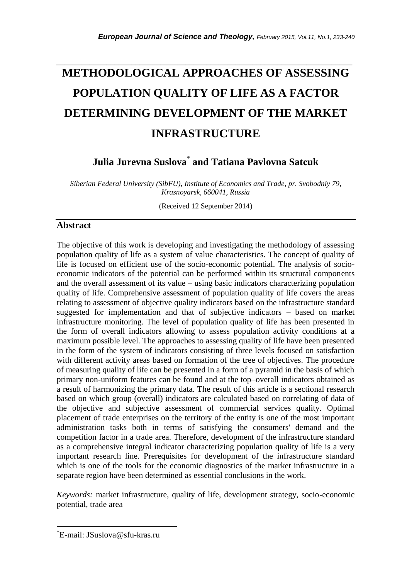# **METHODOLOGICAL APPROACHES OF ASSESSING POPULATION QUALITY OF LIFE AS A FACTOR DETERMINING DEVELOPMENT OF THE MARKET INFRASTRUCTURE**

*\_\_\_\_\_\_\_\_\_\_\_\_\_\_\_\_\_\_\_\_\_\_\_\_\_\_\_\_\_\_\_\_\_\_\_\_\_\_\_\_\_\_\_\_\_\_\_\_\_\_\_\_\_\_\_\_\_\_\_\_\_\_\_\_\_\_\_\_\_\_\_*

**Julia Jurevna Suslova**\* **and Tatiana Pavlovna Satсuk**

*Siberian Federal University (SibFU), Institute of Economics and Trade, pr. Svobodniy 79, Krasnoyarsk, 660041, Russia* 

(Received 12 September 2014)

## **Abstract**

The objective of this work is developing and investigating the methodology of assessing population quality of life as a system of value characteristics. The concept of quality of life is focused on efficient use of the socio-economic potential. The analysis of socioeconomic indicators of the potential can be performed within its structural components and the overall assessment of its value – using basic indicators characterizing population quality of life. Comprehensive assessment of population quality of life covers the areas relating to assessment of objective quality indicators based on the infrastructure standard suggested for implementation and that of subjective indicators – based on market infrastructure monitoring. The level of population quality of life has been presented in the form of overall indicators allowing to assess population activity conditions at a maximum possible level. The approaches to assessing quality of life have been presented in the form of the system of indicators consisting of three levels focused on satisfaction with different activity areas based on formation of the tree of objectives. The procedure of measuring quality of life can be presented in a form of a pyramid in the basis of which primary non-uniform features can be found and at the top–overall indicators obtained as a result of harmonizing the primary data. The result of this article is a sectional research based on which group (overall) indicators are calculated based on correlating of data of the objective and subjective assessment of commercial services quality. Optimal placement of trade enterprises on the territory of the entity is one of the most important administration tasks both in terms of satisfying the consumers' demand and the competition factor in a trade area. Therefore, development of the infrastructure standard as a comprehensive integral indicator characterizing population quality of life is a very important research line. Prerequisites for development of the infrastructure standard which is one of the tools for the economic diagnostics of the market infrastructure in a separate region have been determined as essential conclusions in the work.

*Keywords:* market infrastructure, quality of life, development strategy, socio-economic potential, trade area

l

<sup>\*</sup>E-mail: JSuslova@sfu-kras.ru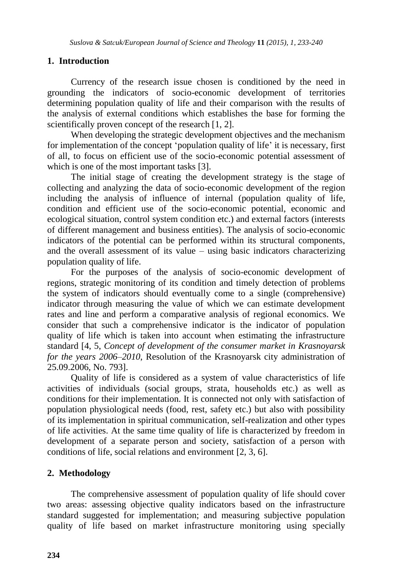# **1. Introduction**

Currency of the research issue chosen is conditioned by the need in grounding the indicators of socio-economic development of territories determining population quality of life and their comparison with the results of the analysis of external conditions which establishes the base for forming the scientifically proven concept of the research [1, 2].

When developing the strategic development objectives and the mechanism for implementation of the concept 'population quality of life' it is necessary, first of all, to focus on efficient use of the socio-economic potential assessment of which is one of the most important tasks [3].

The initial stage of creating the development strategy is the stage of collecting and analyzing the data of socio-economic development of the region including the analysis of influence of internal (population quality of life, condition and efficient use of the socio-economic potential, economic and ecological situation, control system condition etc.) and external factors (interests of different management and business entities). The analysis of socio-economic indicators of the potential can be performed within its structural components, and the overall assessment of its value – using basic indicators characterizing population quality of life.

For the purposes of the analysis of socio-economic development of regions, strategic monitoring of its condition and timely detection of problems the system of indicators should eventually come to a single (comprehensive) indicator through measuring the value of which we can estimate development rates and line and perform a comparative analysis of regional economics. We consider that such a comprehensive indicator is the indicator of population quality of life which is taken into account when estimating the infrastructure standard [4, 5, *Concept of development of the consumer market in Krasnoyarsk for the years 2006–2010*, Resolution of the Krasnoyarsk city administration of 25.09.2006, No. 793].

Quality of life is considered as a system of value characteristics of life activities of individuals (social groups, strata, households etc.) as well as conditions for their implementation. It is connected not only with satisfaction of population physiological needs (food, rest, safety etc.) but also with possibility of its implementation in spiritual communication, self-realization and other types of life activities. At the same time quality of life is characterized by freedom in development of a separate person and society, satisfaction of a person with conditions of life, social relations and environment [2, 3, 6].

## **2. Methodology**

The comprehensive assessment of population quality of life should cover two areas: assessing objective quality indicators based on the infrastructure standard suggested for implementation; and measuring subjective population quality of life based on market infrastructure monitoring using specially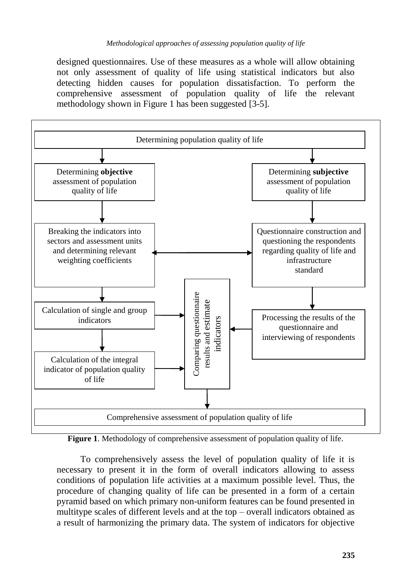designed questionnaires. Use of these measures as a whole will allow obtaining not only assessment of quality of life using statistical indicators but also detecting hidden causes for population dissatisfaction. To perform the comprehensive assessment of population quality of life the relevant methodology shown in Figure 1 has been suggested [3-5].



**Figure 1**. Methodology of comprehensive assessment of population quality of life.

To comprehensively assess the level of population quality of life it is necessary to present it in the form of overall indicators allowing to assess conditions of population life activities at a maximum possible level. Thus, the procedure of changing quality of life can be presented in a form of a certain pyramid based on which primary non-uniform features can be found presented in multitype scales of different levels and at the top – overall indicators obtained as a result of harmonizing the primary data. The system of indicators for objective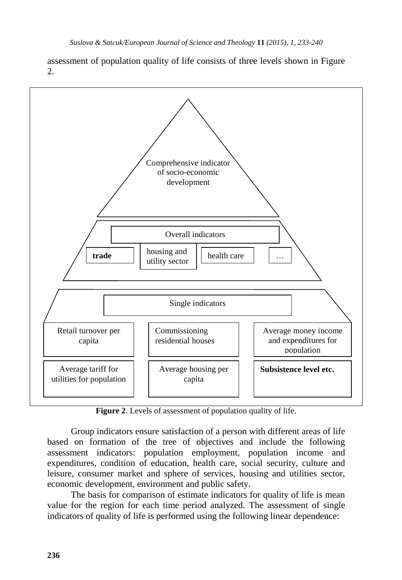assessment of population quality of life consists of three levels shown in Figure  $2<sup>2</sup>$ 

![](_page_3_Figure_2.jpeg)

**Figure 2**. Levels of assessment of population quality of life.

Group indicators ensure satisfaction of a person with different areas of life based on formation of the tree of objectives and include the following assessment indicators: population employment, population income and expenditures, condition of education, health care, social security, culture and leisure, consumer market and sphere of services, housing and utilities sector, economic development, environment and public safety.

The basis for comparison of estimate indicators for quality of life is mean value for the region for each time period analyzed. The assessment of single indicators of quality of life is performed using the following linear dependence: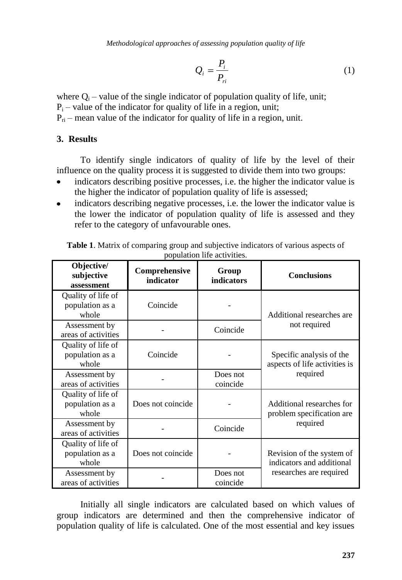*Methodological approaches of assessing population quality of life*

$$
Q_i = \frac{P_i}{P_{ri}}\tag{1}
$$

where  $Q_i$  – value of the single indicator of population quality of life, unit;

 $P_i$  – value of the indicator for quality of life in a region, unit;

 $P_{ri}$  – mean value of the indicator for quality of life in a region, unit.

#### **3. Results**

To identify single indicators of quality of life by the level of their influence on the quality process it is suggested to divide them into two groups:

- indicators describing positive processes, i.e. the higher the indicator value is the higher the indicator of population quality of life is assessed;
- indicators describing negative processes, i.e. the lower the indicator value is the lower the indicator of population quality of life is assessed and they refer to the category of unfavourable ones.

| Objective/<br>subjective<br>assessment         | Comprehensive<br>indicator | Group<br>indicators  | <b>Conclusions</b>                                                                |
|------------------------------------------------|----------------------------|----------------------|-----------------------------------------------------------------------------------|
| Quality of life of<br>population as a<br>whole | Coincide                   |                      | Additional researches are<br>not required                                         |
| Assessment by<br>areas of activities           |                            | Coincide             |                                                                                   |
| Quality of life of<br>population as a<br>whole | Coincide                   |                      | Specific analysis of the<br>aspects of life activities is<br>required             |
| Assessment by<br>areas of activities           |                            | Does not<br>coincide |                                                                                   |
| Quality of life of<br>population as a<br>whole | Does not coincide          |                      | Additional researches for<br>problem specification are<br>required                |
| Assessment by<br>areas of activities           |                            | Coincide             |                                                                                   |
| Quality of life of<br>population as a<br>whole | Does not coincide          |                      | Revision of the system of<br>indicators and additional<br>researches are required |
| Assessment by<br>areas of activities           |                            | Does not<br>coincide |                                                                                   |

**Table 1**. Matrix of comparing group and subjective indicators of various aspects of population life activities.

Initially all single indicators are calculated based on which values of group indicators are determined and then the comprehensive indicator of population quality of life is calculated. One of the most essential and key issues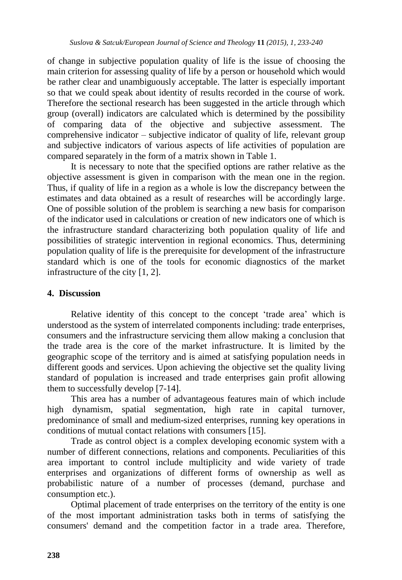of change in subjective population quality of life is the issue of choosing the main criterion for assessing quality of life by a person or household which would be rather clear and unambiguously acceptable. The latter is especially important so that we could speak about identity of results recorded in the course of work. Therefore the sectional research has been suggested in the article through which group (overall) indicators are calculated which is determined by the possibility of comparing data of the objective and subjective assessment. The comprehensive indicator – subjective indicator of quality of life, relevant group and subjective indicators of various aspects of life activities of population are compared separately in the form of a matrix shown in Table 1.

It is necessary to note that the specified options are rather relative as the objective assessment is given in comparison with the mean one in the region. Thus, if quality of life in a region as a whole is low the discrepancy between the estimates and data obtained as a result of researches will be accordingly large. One of possible solution of the problem is searching a new basis for comparison of the indicator used in calculations or creation of new indicators one of which is the infrastructure standard characterizing both population quality of life and possibilities of strategic intervention in regional economics. Thus, determining population quality of life is the prerequisite for development of the infrastructure standard which is one of the tools for economic diagnostics of the market infrastructure of the city [1, 2].

#### **4. Discussion**

Relative identity of this concept to the concept 'trade area' which is understood as the system of interrelated components including: trade enterprises, consumers and the infrastructure servicing them allow making a conclusion that the trade area is the core of the market infrastructure. It is limited by the geographic scope of the territory and is aimed at satisfying population needs in different goods and services. Upon achieving the objective set the quality living standard of population is increased and trade enterprises gain profit allowing them to successfully develop [7-14].

This area has a number of advantageous features main of which include high dynamism, spatial segmentation, high rate in capital turnover, predominance of small and medium-sized enterprises, running key operations in conditions of mutual contact relations with consumers [15].

Trade as control object is a complex developing economic system with a number of different connections, relations and components. Peculiarities of this area important to control include multiplicity and wide variety of trade enterprises and organizations of different forms of ownership as well as probabilistic nature of a number of processes (demand, purchase and consumption etc.).

Optimal placement of trade enterprises on the territory of the entity is one of the most important administration tasks both in terms of satisfying the consumers' demand and the competition factor in a trade area. Therefore,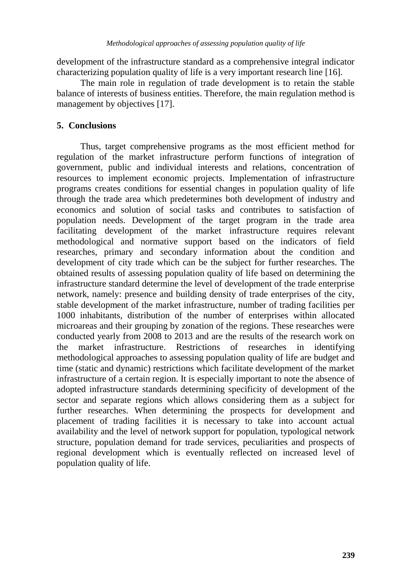development of the infrastructure standard as a comprehensive integral indicator characterizing population quality of life is a very important research line [16].

The main role in regulation of trade development is to retain the stable balance of interests of business entities. Therefore, the main regulation method is management by objectives [17].

# **5. Conclusions**

Thus, target comprehensive programs as the most efficient method for regulation of the market infrastructure perform functions of integration of government, public and individual interests and relations, concentration of resources to implement economic projects. Implementation of infrastructure programs creates conditions for essential changes in population quality of life through the trade area which predetermines both development of industry and economics and solution of social tasks and contributes to satisfaction of population needs. Development of the target program in the trade area facilitating development of the market infrastructure requires relevant methodological and normative support based on the indicators of field researches, primary and secondary information about the condition and development of city trade which can be the subject for further researches. The obtained results of assessing population quality of life based on determining the infrastructure standard determine the level of development of the trade enterprise network, namely: presence and building density of trade enterprises of the city, stable development of the market infrastructure, number of trading facilities per 1000 inhabitants, distribution of the number of enterprises within allocated microareas and their grouping by zonation of the regions. These researches were conducted yearly from 2008 to 2013 and are the results of the research work on the market infrastructure. Restrictions of researches in identifying methodological approaches to assessing population quality of life are budget and time (static and dynamic) restrictions which facilitate development of the market infrastructure of a certain region. It is especially important to note the absence of adopted infrastructure standards determining specificity of development of the sector and separate regions which allows considering them as a subject for further researches. When determining the prospects for development and placement of trading facilities it is necessary to take into account actual availability and the level of network support for population, typological network structure, population demand for trade services, peculiarities and prospects of regional development which is eventually reflected on increased level of population quality of life.